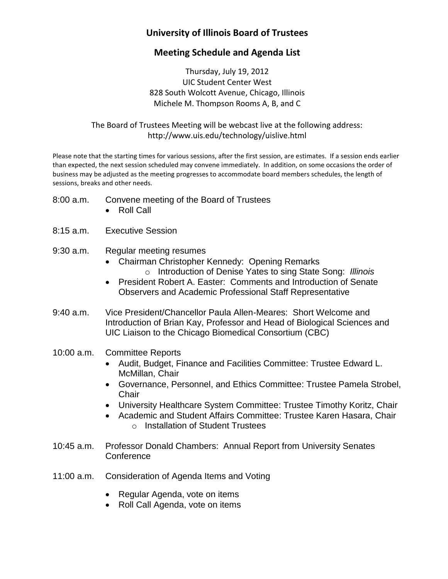# **University of Illinois Board of Trustees**

## **Meeting Schedule and Agenda List**

Thursday, July 19, 2012 UIC Student Center West 828 South Wolcott Avenue, Chicago, Illinois Michele M. Thompson Rooms A, B, and C

The Board of Trustees Meeting will be webcast live at the following address: <http://www.uis.edu/technology/uislive.html>

Please note that the starting times for various sessions, after the first session, are estimates. If a session ends earlier than expected, the next session scheduled may convene immediately. In addition, on some occasions the order of business may be adjusted as the meeting progresses to accommodate board members schedules, the length of sessions, breaks and other needs.

- 8:00 a.m. Convene meeting of the Board of Trustees
	- Roll Call
- 8:15 a.m. Executive Session
- 9:30 a.m. Regular meeting resumes
	- Chairman Christopher Kennedy: Opening Remarks o Introduction of Denise Yates to sing State Song: *Illinois*
	- President Robert A. Easter: Comments and Introduction of Senate Observers and Academic Professional Staff Representative
- 9:40 a.m. Vice President/Chancellor Paula Allen-Meares: Short Welcome and Introduction of Brian Kay, Professor and Head of Biological Sciences and UIC Liaison to the Chicago Biomedical Consortium (CBC)
- 10:00 a.m. Committee Reports
	- Audit, Budget, Finance and Facilities Committee: Trustee Edward L. McMillan, Chair
	- Governance, Personnel, and Ethics Committee: Trustee Pamela Strobel, **Chair**
	- University Healthcare System Committee: Trustee Timothy Koritz, Chair
	- Academic and Student Affairs Committee: Trustee Karen Hasara, Chair o Installation of Student Trustees
- 10:45 a.m. Professor Donald Chambers: Annual Report from University Senates **Conference**
- 11:00 a.m. Consideration of Agenda Items and Voting
	- Regular Agenda, vote on items
	- Roll Call Agenda, vote on items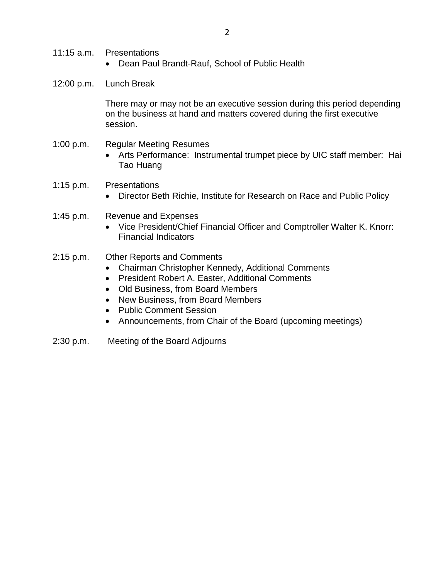- 11:15 a.m. Presentations
	- Dean Paul Brandt-Rauf, School of Public Health
- 12:00 p.m. Lunch Break

There may or may not be an executive session during this period depending on the business at hand and matters covered during the first executive session.

- 1:00 p.m. Regular Meeting Resumes
	- Arts Performance: Instrumental trumpet piece by UIC staff member: Hai Tao Huang
- 1:15 p.m. Presentations
	- Director Beth Richie, Institute for Research on Race and Public Policy
- 1:45 p.m. Revenue and Expenses
	- Vice President/Chief Financial Officer and Comptroller Walter K. Knorr: Financial Indicators
- 2:15 p.m. Other Reports and Comments
	- Chairman Christopher Kennedy, Additional Comments
	- President Robert A. Easter, Additional Comments
	- Old Business, from Board Members
	- New Business, from Board Members
	- Public Comment Session
	- Announcements, from Chair of the Board (upcoming meetings)
- 2:30 p.m. Meeting of the Board Adjourns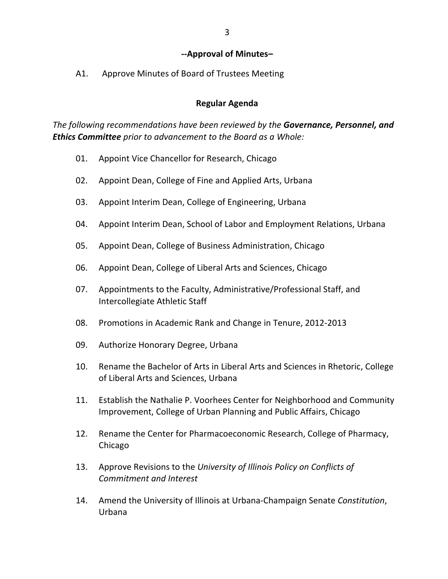#### **--Approval of Minutes–**

A1. Approve Minutes of Board of Trustees Meeting

#### **Regular Agenda**

*The following recommendations have been reviewed by the Governance, Personnel, and Ethics Committee prior to advancement to the Board as a Whole:*

- 01. Appoint Vice Chancellor for Research, Chicago
- 02. Appoint Dean, College of Fine and Applied Arts, Urbana
- 03. Appoint Interim Dean, College of Engineering, Urbana
- 04. Appoint Interim Dean, School of Labor and Employment Relations, Urbana
- 05. Appoint Dean, College of Business Administration, Chicago
- 06. Appoint Dean, College of Liberal Arts and Sciences, Chicago
- 07. Appointments to the Faculty, Administrative/Professional Staff, and Intercollegiate Athletic Staff
- 08. Promotions in Academic Rank and Change in Tenure, 2012-2013
- 09. Authorize Honorary Degree, Urbana
- 10. Rename the Bachelor of Arts in Liberal Arts and Sciences in Rhetoric, College of Liberal Arts and Sciences, Urbana
- 11. Establish the Nathalie P. Voorhees Center for Neighborhood and Community Improvement, College of Urban Planning and Public Affairs, Chicago
- 12. Rename the Center for Pharmacoeconomic Research, College of Pharmacy, Chicago
- 13. Approve Revisions to the *University of Illinois Policy on Conflicts of Commitment and Interest*
- 14. Amend the University of Illinois at Urbana-Champaign Senate *Constitution*, Urbana